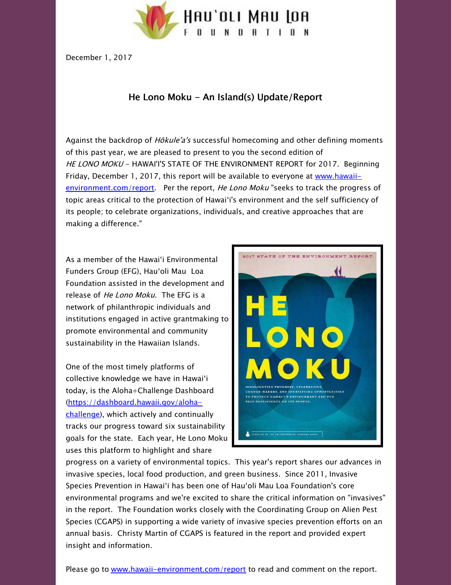

December 1, 2017

## He Lono Moku - An Island(s) Update/Report

Against the backdrop of *Hōkule'a's* successful homecoming and other defining moments of this past year, we are pleased to present to you the second edition of HE LONO MOKU - HAWAI'I'S STATE OF THE ENVIRONMENT REPORT for 2017. Beginning Friday, December 1, 2017, this report will be available to everyone at www.hawaii[environment.com/report.](http://hawaii-environment.com/report?utm_source=14.+He+Lono+Moku+-+An+Island%28s%29+Update%2FReport+%28December+2017%29&utm_campaign=He+Lono+Moku+-+An+Island%28s%29+Update%2FReport+%28December+2017%29&utm_medium=email) Per the report, He Lono Moku "seeks to track the progress of topic areas critical to the protection of Hawaiʻi's environment and the self sufficiency of its people; to celebrate organizations, individuals, and creative approaches that are making a difference."

As a member of the Hawaiʻi Environmental Funders Group (EFG), Hauʻoli Mau Loa Foundation assisted in the development and release of *He Lono Moku*. The EFG is a network of philanthropic individuals and institutions engaged in active grantmaking to promote environmental and community sustainability in the Hawaiian Islands.

One of the most timely platforms of collective knowledge we have in Hawaiʻi today, is the Aloha+Challenge Dashboard [\(https://dashboard.hawaii.gov/aloha](https://dashboard.hawaii.gov/aloha-challenge?utm_source=14.+He+Lono+Moku+-+An+Island%28s%29+Update%2FReport+%28December+2017%29&utm_campaign=He+Lono+Moku+-+An+Island%28s%29+Update%2FReport+%28December+2017%29&utm_medium=email)challenge), which actively and continually tracks our progress toward six sustainability goals for the state. Each year, He Lono Moku uses this platform to highlight and share



progress on a variety of environmental topics. This year's report shares our advances in invasive species, local food production, and green business. Since 2011, Invasive Species Prevention in Hawaiʻi has been one of Hauʻoli Mau Loa Foundation's core environmental programs and we're excited to share the critical information on "invasives" in the report. The Foundation works closely with the Coordinating Group on Alien Pest Species (CGAPS) in supporting a wide variety of invasive species prevention efforts on an annual basis. Christy Martin of CGAPS is featured in the report and provided expert insight and information.

Please go to [www.hawaii-environment.com/report](http://hawaii-environment.com/report?utm_source=14.+He+Lono+Moku+-+An+Island%28s%29+Update%2FReport+%28December+2017%29&utm_campaign=He+Lono+Moku+-+An+Island%28s%29+Update%2FReport+%28December+2017%29&utm_medium=email) to read and comment on the report.